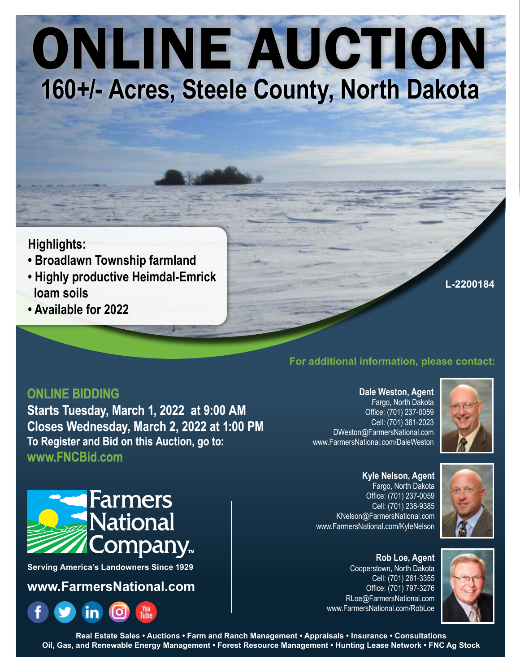# ONLINE AUCTION **160+/- Acres, Steele County, North Dakota**

# **Highlights:**

- **Broadlawn Township farmland**
- **Highly productive Heimdal-Emrick loam soils**
- **Available for 2022**

## **L-2200184**

# **For additional information, please contact:**

## **ONLINE BIDDING**

**Starts Tuesday, March 1, 2022 at 9:00 AM Closes Wednesday, March 2, 2022 at 1:00 PM To Register and Bid on this Auction, go to: www.FNCBid.com**

**Dale Weston, Agent** Fargo, North Dakota Office: (701) 237-0059 Cell: (701) 361-2023 DWeston@FarmersNational.com www.FarmersNational.com/DaleWeston



**Kyle Nelson, Agent** Fargo, North Dakota Office: (701) 237-0059 Cell: (701) 238-9385 KNelson@FarmersNational.com www.FarmersNational.com/KyleNelson





## Cooperstown, North Dakota Cell: (701) 261-3355 Office: (701) 797-3276 RLoe@FarmersNational.com www.FarmersNational.com/RobLoe



**Serving America's Landowners Since 1929**

# **www.FarmersNational.com**



**Real Estate Sales • Auctions • Farm and Ranch Management • Appraisals • Insurance • Consultations Oil, Gas, and Renewable Energy Management • Forest Resource Management • Hunting Lease Network • FNC Ag Stock**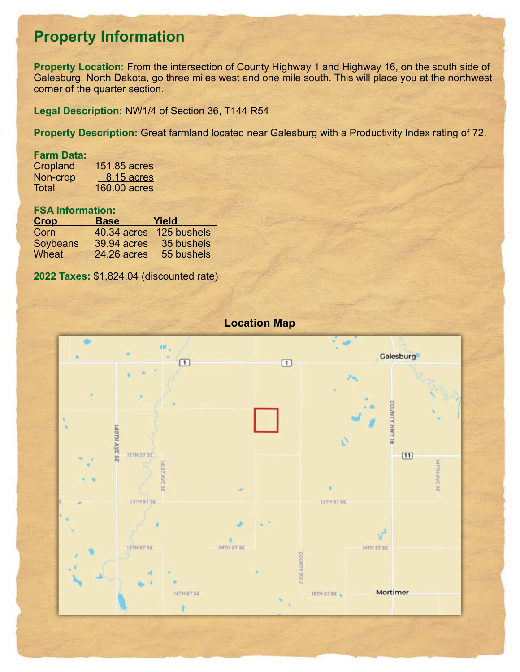# **Property Information**

**Property Location:** From the intersection of County Highway 1 and Highway 16, on the south side of Galesburg, North Dakota, go three miles west and one mile south. This will place you at the northwest corner of the quarter section.

**Legal Description:** NW1/4 of Section 36, T144 R54

**Property Description:** Great farmland located near Galesburg with a Productivity Index rating of 72.

## **Farm Data:**

Cropland 151.85 acres<br>Non-crop 8.15 acres Non-crop 8.15 acres<br>Total 160.00 acres  $160.00$  acres

## **FSA Information:**

| <b>Crop</b>  | <b>Base</b> | Yield                   |
|--------------|-------------|-------------------------|
| Corn         |             | 40.34 acres 125 bushels |
| Soybeans     | 39.94 acres | 35 bushels              |
| <b>Wheat</b> | 24.26 acres | 55 bushels              |

**2022 Taxes:** \$1,824.04 (discounted rate)

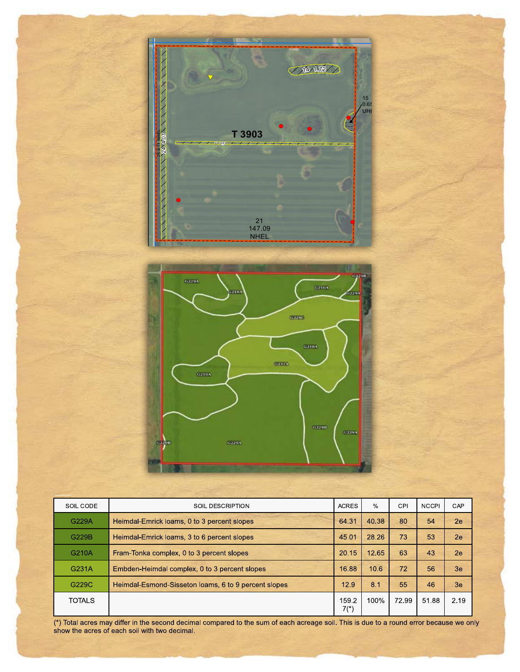

**United States**



2021 Program Year

**S36 T144N R54W** Map Created March 09, 2021

0 235 470 940

| SOIL CODE     | SOIL DESCRIPTION                                     | <b>ACRES</b>    | $\%$  | CPI   | <b>NCCPI</b> | CAP  |
|---------------|------------------------------------------------------|-----------------|-------|-------|--------------|------|
| G229A         | Heimdal Emrick loams, 0 to 3 percent slopes          | 64.31           | 40.38 | 80    | 54           | 2e   |
| G229B         | Heimdal-Emrick loams, 3 to 6 percent slopes          | 45.01           | 28.26 | 73    | 53           | 2e   |
| G210A         | Fram-Tonka complex, 0 to 3 percent slopes            | 20.15           | 12.65 | 63    | 43           | 2e   |
| G231A         | Embden-Heimdal complex, 0 to 3 percent slopes        | 16.88           | 10.6  | 72    | 56           | 3e   |
| G229C         | Heimdal-Esmond-Sisseton loams, 6 to 9 percent slopes | 12.9            | 8.1   | 55    | 46           | 3e   |
| <b>TOTALS</b> |                                                      | 159.2<br>$7(*)$ | 100%  | 72.99 | 51.88        | 2.19 |

 $(^\circ)$  Total acres may differ in the second decimal compared to the sum of each acreage soll. This is due to a round error because we only show the acres of each soil with two decimal.

\$#) &&22\$\$\$ 2"